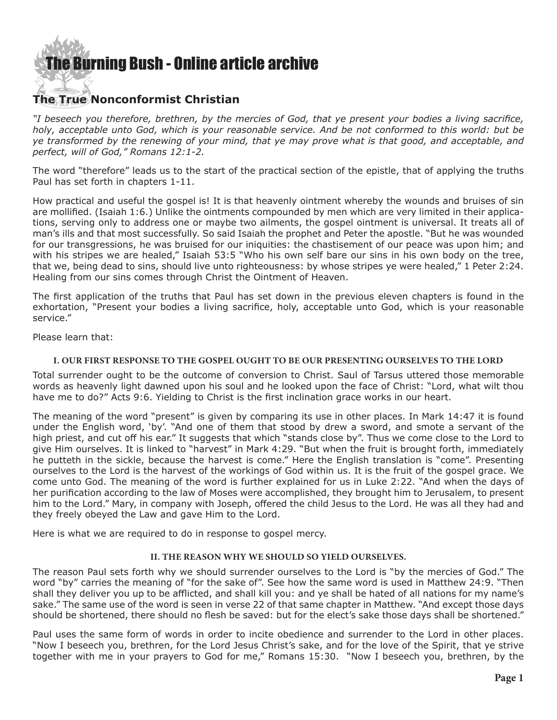

## **The True Nonconformist Christian**

*"I beseech you therefore, brethren, by the mercies of God, that ye present your bodies a living sacrifice, holy, acceptable unto God, which is your reasonable service. And be not conformed to this world: but be ye transformed by the renewing of your mind, that ye may prove what is that good, and acceptable, and perfect, will of God," Romans 12:1-2.*

The word "therefore" leads us to the start of the practical section of the epistle, that of applying the truths Paul has set forth in chapters 1-11.

How practical and useful the gospel is! It is that heavenly ointment whereby the wounds and bruises of sin are mollified. (Isaiah 1:6.) Unlike the ointments compounded by men which are very limited in their applications, serving only to address one or maybe two ailments, the gospel ointment is universal. It treats all of man's ills and that most successfully. So said Isaiah the prophet and Peter the apostle. "But he was wounded for our transgressions, he was bruised for our iniquities: the chastisement of our peace was upon him; and with his stripes we are healed," Isaiah 53:5 "Who his own self bare our sins in his own body on the tree, that we, being dead to sins, should live unto righteousness: by whose stripes ye were healed," 1 Peter 2:24. Healing from our sins comes through Christ the Ointment of Heaven.

The first application of the truths that Paul has set down in the previous eleven chapters is found in the exhortation, "Present your bodies a living sacrifice, holy, acceptable unto God, which is your reasonable service."

Please learn that:

#### **I. OUR FIRST RESPONSE TO THE GOSPEL OUGHT TO BE OUR PRESENTING OURSELVES TO THE LORD**

Total surrender ought to be the outcome of conversion to Christ. Saul of Tarsus uttered those memorable words as heavenly light dawned upon his soul and he looked upon the face of Christ: "Lord, what wilt thou have me to do?" Acts 9:6. Yielding to Christ is the first inclination grace works in our heart.

The meaning of the word "present" is given by comparing its use in other places. In Mark 14:47 it is found under the English word, 'by'. "And one of them that stood by drew a sword, and smote a servant of the high priest, and cut off his ear." It suggests that which "stands close by". Thus we come close to the Lord to give Him ourselves. It is linked to "harvest" in Mark 4:29. "But when the fruit is brought forth, immediately he putteth in the sickle, because the harvest is come." Here the English translation is "come". Presenting ourselves to the Lord is the harvest of the workings of God within us. It is the fruit of the gospel grace. We come unto God. The meaning of the word is further explained for us in Luke 2:22. "And when the days of her purification according to the law of Moses were accomplished, they brought him to Jerusalem, to present him to the Lord." Mary, in company with Joseph, offered the child Jesus to the Lord. He was all they had and they freely obeyed the Law and gave Him to the Lord.

Here is what we are required to do in response to gospel mercy.

#### **II. The reason why we should so yield ourselves.**

The reason Paul sets forth why we should surrender ourselves to the Lord is "by the mercies of God." The word "by" carries the meaning of "for the sake of". See how the same word is used in Matthew 24:9. "Then shall they deliver you up to be afflicted, and shall kill you: and ye shall be hated of all nations for my name's sake." The same use of the word is seen in verse 22 of that same chapter in Matthew. "And except those days should be shortened, there should no flesh be saved: but for the elect's sake those days shall be shortened."

Paul uses the same form of words in order to incite obedience and surrender to the Lord in other places. "Now I beseech you, brethren, for the Lord Jesus Christ's sake, and for the love of the Spirit, that ye strive together with me in your prayers to God for me," Romans 15:30. "Now I beseech you, brethren, by the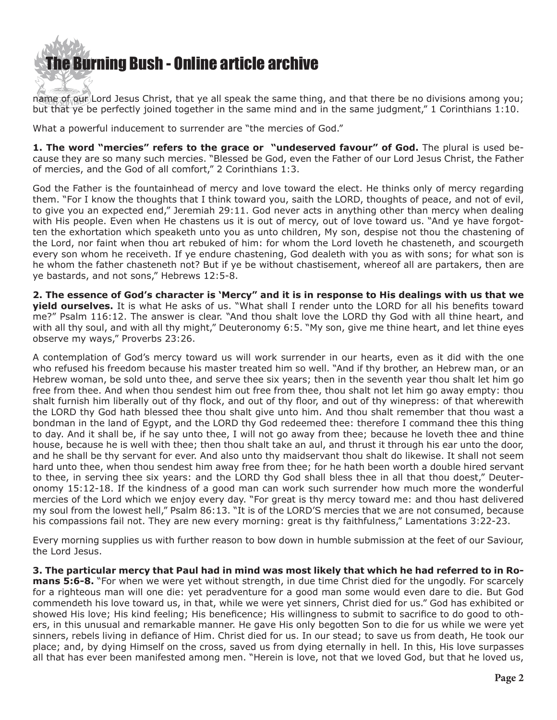

name of our Lord Jesus Christ, that ye all speak the same thing, and that there be no divisions among you; but that ye be perfectly joined together in the same mind and in the same judgment," 1 Corinthians 1:10.

What a powerful inducement to surrender are "the mercies of God."

**1. The word "mercies" refers to the grace or "undeserved favour" of God.** The plural is used because they are so many such mercies. "Blessed be God, even the Father of our Lord Jesus Christ, the Father of mercies, and the God of all comfort," 2 Corinthians 1:3.

God the Father is the fountainhead of mercy and love toward the elect. He thinks only of mercy regarding them. "For I know the thoughts that I think toward you, saith the LORD, thoughts of peace, and not of evil, to give you an expected end," Jeremiah 29:11. God never acts in anything other than mercy when dealing with His people. Even when He chastens us it is out of mercy, out of love toward us. "And ye have forgotten the exhortation which speaketh unto you as unto children, My son, despise not thou the chastening of the Lord, nor faint when thou art rebuked of him: for whom the Lord loveth he chasteneth, and scourgeth every son whom he receiveth. If ye endure chastening, God dealeth with you as with sons; for what son is he whom the father chasteneth not? But if ye be without chastisement, whereof all are partakers, then are ye bastards, and not sons," Hebrews 12:5-8.

**2. The essence of God's character is 'Mercy" and it is in response to His dealings with us that we yield ourselves.** It is what He asks of us. "What shall I render unto the LORD for all his benefits toward me?" Psalm 116:12. The answer is clear. "And thou shalt love the LORD thy God with all thine heart, and with all thy soul, and with all thy might," Deuteronomy 6:5. "My son, give me thine heart, and let thine eyes observe my ways," Proverbs 23:26.

A contemplation of God's mercy toward us will work surrender in our hearts, even as it did with the one who refused his freedom because his master treated him so well. "And if thy brother, an Hebrew man, or an Hebrew woman, be sold unto thee, and serve thee six years; then in the seventh year thou shalt let him go free from thee. And when thou sendest him out free from thee, thou shalt not let him go away empty: thou shalt furnish him liberally out of thy flock, and out of thy floor, and out of thy winepress: of that wherewith the LORD thy God hath blessed thee thou shalt give unto him. And thou shalt remember that thou wast a bondman in the land of Egypt, and the LORD thy God redeemed thee: therefore I command thee this thing to day. And it shall be, if he say unto thee, I will not go away from thee; because he loveth thee and thine house, because he is well with thee; then thou shalt take an aul, and thrust it through his ear unto the door, and he shall be thy servant for ever. And also unto thy maidservant thou shalt do likewise. It shall not seem hard unto thee, when thou sendest him away free from thee; for he hath been worth a double hired servant to thee, in serving thee six years: and the LORD thy God shall bless thee in all that thou doest," Deuteronomy 15:12-18. If the kindness of a good man can work such surrender how much more the wonderful mercies of the Lord which we enjoy every day. "For great is thy mercy toward me: and thou hast delivered my soul from the lowest hell," Psalm 86:13. "It is of the LORD'S mercies that we are not consumed, because his compassions fail not. They are new every morning: great is thy faithfulness," Lamentations 3:22-23.

Every morning supplies us with further reason to bow down in humble submission at the feet of our Saviour, the Lord Jesus.

**3. The particular mercy that Paul had in mind was most likely that which he had referred to in Romans 5:6-8.** "For when we were yet without strength, in due time Christ died for the ungodly. For scarcely for a righteous man will one die: yet peradventure for a good man some would even dare to die. But God commendeth his love toward us, in that, while we were yet sinners, Christ died for us." God has exhibited or showed His love; His kind feeling; His beneficence; His willingness to submit to sacrifice to do good to others, in this unusual and remarkable manner. He gave His only begotten Son to die for us while we were yet sinners, rebels living in defiance of Him. Christ died for us. In our stead; to save us from death, He took our place; and, by dying Himself on the cross, saved us from dying eternally in hell. In this, His love surpasses all that has ever been manifested among men. "Herein is love, not that we loved God, but that he loved us,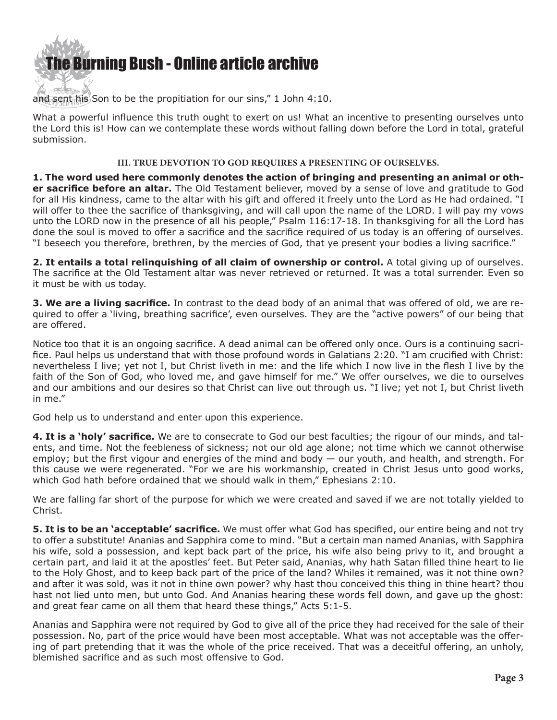

and sent his Son to be the propitiation for our sins," 1 John 4:10.

What a powerful influence this truth ought to exert on us! What an incentive to presenting ourselves unto the Lord this is! How can we contemplate these words without falling down before the Lord in total, grateful submission.

#### **III. True devotion to God requires a presenting of ourselves.**

**1. The word used here commonly denotes the action of bringing and presenting an animal or other sacrifice before an altar.** The Old Testament believer, moved by a sense of love and gratitude to God for all His kindness, came to the altar with his gift and offered it freely unto the Lord as He had ordained. "I will offer to thee the sacrifice of thanksgiving, and will call upon the name of the LORD. I will pay my vows unto the LORD now in the presence of all his people," Psalm 116:17-18. In thanksgiving for all the Lord has done the soul is moved to offer a sacrifice and the sacrifice required of us today is an offering of ourselves. "I beseech you therefore, brethren, by the mercies of God, that ye present your bodies a living sacrifice."

**2. It entails a total relinquishing of all claim of ownership or control.** A total giving up of ourselves. The sacrifice at the Old Testament altar was never retrieved or returned. It was a total surrender. Even so it must be with us today.

**3. We are a living sacrifice.** In contrast to the dead body of an animal that was offered of old, we are required to offer a 'living, breathing sacrifice', even ourselves. They are the "active powers" of our being that are offered.

Notice too that it is an ongoing sacrifice. A dead animal can be offered only once. Ours is a continuing sacrifice. Paul helps us understand that with those profound words in Galatians 2:20. "I am crucified with Christ: nevertheless I live; yet not I, but Christ liveth in me: and the life which I now live in the flesh I live by the faith of the Son of God, who loved me, and gave himself for me." We offer ourselves, we die to ourselves and our ambitions and our desires so that Christ can live out through us. "I live; yet not I, but Christ liveth in me."

God help us to understand and enter upon this experience.

**4. It is a 'holy' sacrifice.** We are to consecrate to God our best faculties; the rigour of our minds, and talents, and time. Not the feebleness of sickness; not our old age alone; not time which we cannot otherwise employ; but the first vigour and energies of the mind and body — our youth, and health, and strength. For this cause we were regenerated. "For we are his workmanship, created in Christ Jesus unto good works, which God hath before ordained that we should walk in them," Ephesians 2:10.

We are falling far short of the purpose for which we were created and saved if we are not totally yielded to Christ.

**5. It is to be an 'acceptable' sacrifice.** We must offer what God has specified, our entire being and not try to offer a substitute! Ananias and Sapphira come to mind. "But a certain man named Ananias, with Sapphira his wife, sold a possession, and kept back part of the price, his wife also being privy to it, and brought a certain part, and laid it at the apostles' feet. But Peter said, Ananias, why hath Satan filled thine heart to lie to the Holy Ghost, and to keep back part of the price of the land? Whiles it remained, was it not thine own? and after it was sold, was it not in thine own power? why hast thou conceived this thing in thine heart? thou hast not lied unto men, but unto God. And Ananias hearing these words fell down, and gave up the ghost: and great fear came on all them that heard these things," Acts 5:1-5.

Ananias and Sapphira were not required by God to give all of the price they had received for the sale of their possession. No, part of the price would have been most acceptable. What was not acceptable was the offering of part pretending that it was the whole of the price received. That was a deceitful offering, an unholy, blemished sacrifice and as such most offensive to God.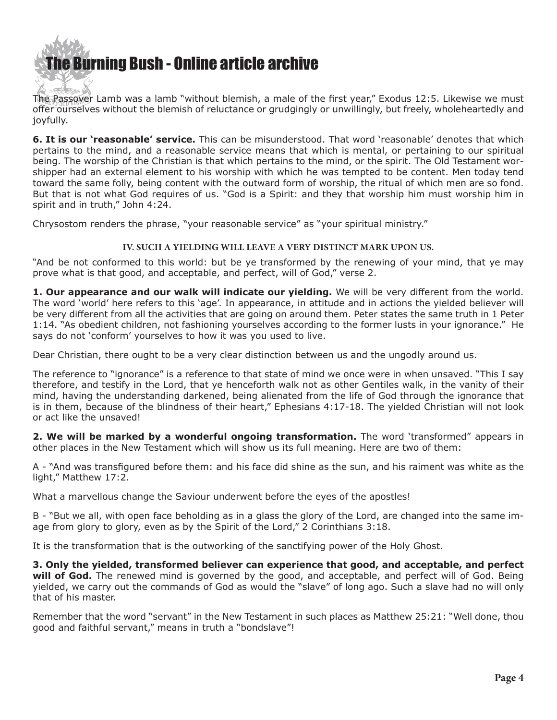[The Burning Bush - Online article archive](http://www.ivanfoster.net) **RAYCE** 

The Passover Lamb was a lamb "without blemish, a male of the first year," Exodus 12:5. Likewise we must offer ourselves without the blemish of reluctance or grudgingly or unwillingly, but freely, wholeheartedly and joyfully.

**6. It is our 'reasonable' service.** This can be misunderstood. That word 'reasonable' denotes that which pertains to the mind, and a reasonable service means that which is mental, or pertaining to our spiritual being. The worship of the Christian is that which pertains to the mind, or the spirit. The Old Testament worshipper had an external element to his worship with which he was tempted to be content. Men today tend toward the same folly, being content with the outward form of worship, the ritual of which men are so fond. But that is not what God requires of us. "God is a Spirit: and they that worship him must worship him in spirit and in truth," John 4:24.

Chrysostom renders the phrase, "your reasonable service" as "your spiritual ministry."

### **IV. Such a yielding will LEAVE a very distinct mark UPON US.**

"And be not conformed to this world: but be ye transformed by the renewing of your mind, that ye may prove what is that good, and acceptable, and perfect, will of God," verse 2.

**1. Our appearance and our walk will indicate our yielding.** We will be very different from the world. The word 'world' here refers to this 'age'. In appearance, in attitude and in actions the yielded believer will be very different from all the activities that are going on around them. Peter states the same truth in 1 Peter 1:14. "As obedient children, not fashioning yourselves according to the former lusts in your ignorance." He says do not 'conform' yourselves to how it was you used to live.

Dear Christian, there ought to be a very clear distinction between us and the ungodly around us.

The reference to "ignorance" is a reference to that state of mind we once were in when unsaved. "This I say therefore, and testify in the Lord, that ye henceforth walk not as other Gentiles walk, in the vanity of their mind, having the understanding darkened, being alienated from the life of God through the ignorance that is in them, because of the blindness of their heart," Ephesians 4:17-18. The yielded Christian will not look or act like the unsaved!

**2. We will be marked by a wonderful ongoing transformation.** The word 'transformed" appears in other places in the New Testament which will show us its full meaning. Here are two of them:

A - "And was transfigured before them: and his face did shine as the sun, and his raiment was white as the light," Matthew 17:2.

What a marvellous change the Saviour underwent before the eyes of the apostles!

B - "But we all, with open face beholding as in a glass the glory of the Lord, are changed into the same image from glory to glory, even as by the Spirit of the Lord," 2 Corinthians 3:18.

It is the transformation that is the outworking of the sanctifying power of the Holy Ghost.

**3. Only the yielded, transformed believer can experience that good, and acceptable, and perfect**  will of God. The renewed mind is governed by the good, and acceptable, and perfect will of God. Being yielded, we carry out the commands of God as would the "slave" of long ago. Such a slave had no will only that of his master.

Remember that the word "servant" in the New Testament in such places as Matthew 25:21: "Well done, thou good and faithful servant," means in truth a "bondslave"!